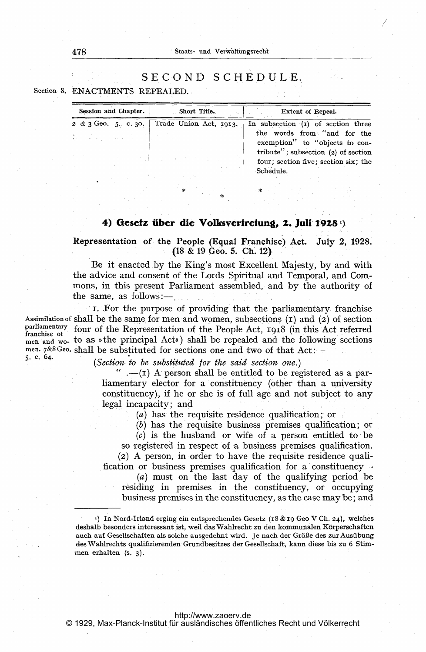# SECOND SCHEDULE.

## Section 8. ENACTMENTS REPEALED.

|                           | Session and Chapter.    | Short Title.           | Extent of Repeal.                                                                                      |
|---------------------------|-------------------------|------------------------|--------------------------------------------------------------------------------------------------------|
|                           | $2 \& 3$ Geo. 5. c. 30. | Trade Union Act, 1913. | In subsection $(i)$ of section three                                                                   |
|                           | and the state           |                        | the words from "and for the<br>exemption" to "objects to con-<br>tribute"; subsection $(2)$ of section |
| $\sim 10^{-11}$<br>$\sim$ |                         |                        | four; section five; section six; the<br>Schedule.                                                      |
|                           |                         |                        |                                                                                                        |

## 4) Gesetz über die Volksvertretung, 2. Juli 1928<sup>r</sup>)

Representation of the People (Equal Franchise) Act. July 2, 1928. (18 & 19 Geo. 5. Ch. 12)

Be it enacted by the King's most Excellent Majesty, by and with the advice and consent of the Lords Spiritual and Temporal, and Commons, in this present Parliament assembled, and by the authority of the same, as follows: $\leftarrow$ .

I. For the purpose of providing that the parliamentary franchise Assimilation of shall be the same for men and women, subsections  $(1)$  and  $(2)$  of section parliamentary four of the Representation of the People Act, <sup>1918</sup> (in this Act referred franchise ot men and wo- to as  $*$ the principal Act<sup>\*</sup>) shall be repealed and the following sections men.  $7&8$ Geo. shall be substituted for sections one and two of that Act:-5. c. 64,

(Section to be substituted for the said section one.)

 $\cdots$  .—(i) A person shall be entitled to be registered as a parliamentary elector for a constituency (other than a university constituency), if he or she is of full age and not subject to any legal incapacity; and

(a) has the requisite residence qualification; or

(b) has the requisite business, premises qualification; or

(c) is the husband or wife of a person entitled to be

so registered in respect of a business premises qualification. (2) A person, in order to have the requisite residence quali-

fication or business premises qualification for a constituency-

(a) must on the last day of the qualifying period be residing in premises in the constituency, or occupying business premises in the constituency, as the case may be; and

<sup>&</sup>lt;sup>1</sup>) In Nord-Irland erging ein entsprechendes Gesetz (18 & 19 Geo V Ch. 24), welches deshalb besonders interessant ist, weil das Wahl\*recht zu den kommunalen Körperschaften auch auf Gesellschaften als solche ausgedehnt wird. je nach der Größe des zur Ausübung des Wahlreehts qualifizierenden Grundbesitzes der Gesellschaft, kann diese bis zu 6 Stimmen erhalten (s. 3).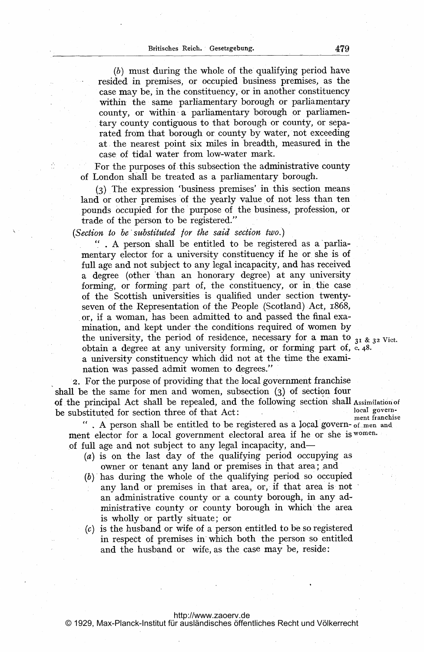(b) must during the whole of the qualifying period have resided in premises, or occupied business premises, as the case may be, in the constituency, or in another constituency within the same parliamentary borough or parliamentary county, or within a parliamentary borough or parliamentary county contiguous to that borough or county, or separated from that borough or county by water, not exceeding at the nearest point six miles in breadth, measured in the case, of tidal water from low-water mark.

For the purposes of. this subsection the administrative county of London shall be treated as a parliamentary borough.

 $(3)$  The expression 'business premises' in this section means land or other premises of the yearly value of not less than ten pounds Occupied for the purpose of the business, profession, or trade of the person to be registered."

(Section to be substituted for the said section two.)

A person shall be entitled to be registered as a'parliamentary elector for a university constituency if he or she is of full age and not subject to any legal incapacity, and has received a degree (other 'than an honorary degree) at any university forming, or forming part of, the constituency, or in. the case of the Scottish universities is qualified under section twentyseven of the Representation of the People (Scotland) Act, 1868, or, if a woman, has been admitted to and passed the final examination, and kept under the conditions required of women by the university, the period of residence, necessary for a man to  $_{31}$  &  $_{32}$  Viet. obtain a degree at any university forming, or forming part of, c. 48. a university constituency which did not at the time the examination was passed admit women to degrees."

2. For the purpose of providing that the local government franchise shall be the same for men and women, subsection (3) of section four of the principal Act shall be repealed, and the following section shall Assimilation of<br>the substituted for section three of that Act be substituted for section three of that Act: ment franchise

A person shall be entitled to be registered as <sup>a</sup> local govern- of..men and, ment elector for a local government electoral area if he or she is women. of full age and not subject to any legal incapacity, and-

- (a) is on the last day of the qualifying period occupying as owner or tenant any land or premises in that area; and
- (b)'has during the whole of the qualifying period so occupied any land or premises in that area, or, if that area is not an administrative county or a county borough, in any administrative county or county borough in which the area is wholly. or partly situate; or
- (C) is the husband or wife of a person entitled to be so registered in respect of premises in which both the person so entitled and the husband or wife, as the case may be, reside:

<http://www.zaoerv.de> © 1929, Max-Planck-Institut für ausländisches öffentliches Recht und Völkerrecht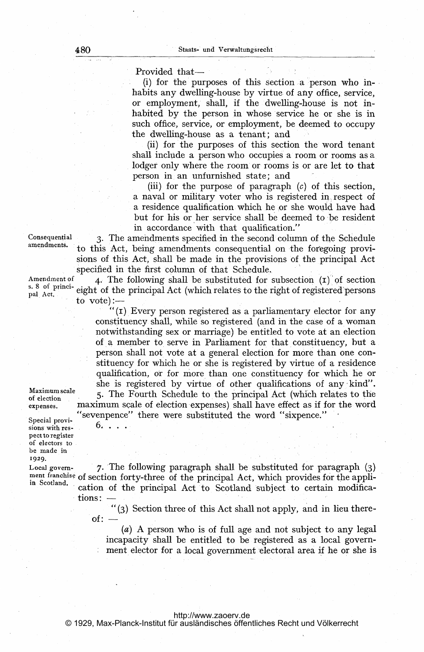Provided that-

(i) for the purposes of this section <sup>a</sup> person who inhabits any dwelling-house by virtue of any office, service, or employment, shall, if the dwelling-house is not inhabited by the person in whose service he or she is in such office, service, or employment, be deemed to occupy the dwelling-house as a tenant; and

(ii) for the purposes of this section the word tenant shall include a person who occupies a room or rooms as a lodger only where the room'or rooms is or are let to that person in, an unfurnished state; and

(iii) for the purpose of paragraph (c) of this section, <sup>a</sup> naval or military voter who is registered in, respect of a residence qualification which he or she would have had but for his or her service shall be deemed to be resident in accordance with that qualification."

Consequential 3. The amendments specified in the second column of the Schedule amendments. to this Act, being amendments consequential on -the foregoing provisions of this Act, shall be made in the provisions of the principal Act specified in the first column of that Schedule.

Amendment of  $\begin{array}{c} 4. \text{ The following shall be substituted for subsection (I) of section s. 8 of principal of the principal.}\end{array}$  of the principal Act (which relates to the right of registered persons to vote):-

(I) Every person registered as a parliamentary elector for any constituency shall, while so registered (and in the case of <sup>a</sup> woman notwithstanding sex or marriage) be entitled to vote at an election of. a member to. serve in Parliament for that constituency, but a person shall not vote at a general election for more than one constituency for which he or she is registered by virtue of a residence qualification, or for more, than one constituency for which he or she is registered by virtue of other qualifications of any kind". Maximum scale 5. The Fourth Schedule to the principal Act (which relates to the expenses. maximum scale of election expenses) shall have effect as if for the word Special provi-<br>signs with respect the vertex of  $\alpha$ ,  $\beta$ ,  $\beta$ ,  $\beta$ ,  $\gamma$ ,  $\gamma$ 

sions with respect to register of electors to be made in 1929.

Local govern- 7. The following paragraph shall be substituted for paragraph (3) ment franchise of section forty-three of the principal Act, which provides for the appli-<br>in Scotland. cation of the principal Act to Scotland tions:

> (3) Section three of this Act shall not apply, and in lieu there $of:$

 $(a)$  A person who is of full age and not subject to any legal incapacity shall be entitled to be registered as a local government elector for a local government electoral area if he or she is

Maximum scale

© 1929, Max-Planck-Institut für ausländisches öffentliches Recht und Völkerrecht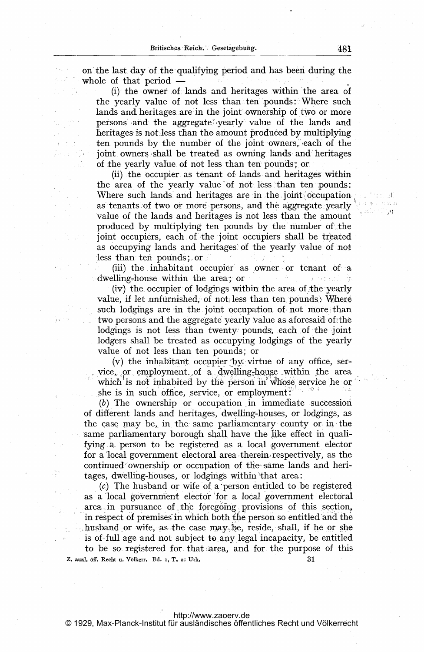on the last day of the qualifying period and has been during the whole of that period  $-$ 

(i) the owner of lands and heritages within the area the yearly value of not less than ten pounds:'Where such lands and heritages are in the joint ownership of two or more persons and the aggregate yearly value of the lands and heritages is not less than the amount produced by multiplying ten pounds by the number of the joint owners, each of the joint.owners shall be treated as owning lands and heritages of the yearly value. of not less than ten- pounds-, or

(ii) the occupier as tenant of lands and heritages within the area of the yearly value of not less than ten pounds: Where such lands and heritages are in the joint occupation as tenants of two or more persons, and the aggregate. yearly value of the lands and heritages is not less than the amount produced by multiplying ten pounds by the number of the joint occupiers, each of the joint occupiers shall be treated as occupying lands and heritages of the yearly value of not less than ten pounds; or.

(iii) the inhabitant occupier as owner or tenant of a dwelling-house.within the area; or January January 3

(iv) the occupier of lodgings within the area of the yearly value, if let unfurnished, of not less than ten pounds: Where such lodgings are in the joint occupation of not more than two persons and the aggregate yearly value as aforesaid of the lodgings is not less than twenty pounds, each of the joint lodgers shall be treated as occupying lodgings of the yearly value of not less than ten pounds; or

(v) the inhabitant occupier by virtue of any office, service, or employment of a dwelling-house within the area which is not inhabited by the person in whose service he or she is in such office, service, or employment.

(b) The ownership or, occupation in immediate succession of different lands and heritages, dwelling-houses, or lodgings, as the case may be, in the same parliamentary county or, in the same parliamentary borough shall, have the like effect in qualifying a person to be registered as a local government elector for a local government electoral area therein respectively, as the continued ownership or occupation of the same lands and heritages, dwelling-houses, or lodgings within that area:

 $(c)$  The husband or wife of a person entitled to be registered as a local government elector for a local government electoral area in pursuance of the foregoing provisions of this section, in respect of premises in which both the person so entitled and the husband or wife, as the case may-be, reside, shall, if he or she is of-full age and not subject to, any, legal incapacity, be entitled to be so registered for that area, and for the purpose of this Z. ausl. öff. Recht u. Völkerr. Bd. r, T. 2: Urk. 31

### <http://www.zaoerv.de>

© 1929, Max-Planck-Institut für ausländisches öffentliches Recht und Völkerrecht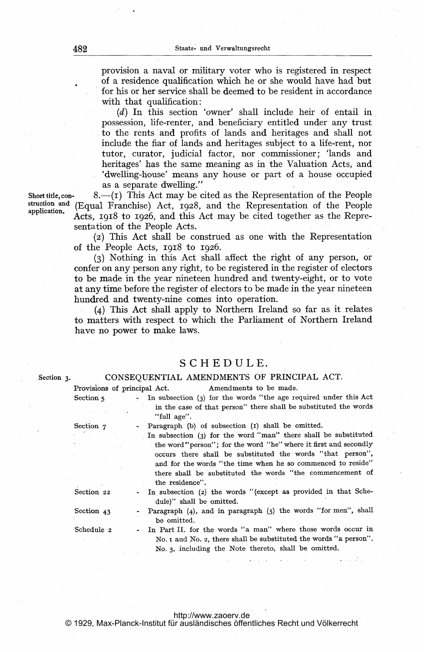provision a naval,or military voter who is registered in respect of a residence quahfication which he or she would have had but for his or her service shall be deemed to be resident in accordance with that qualification:

 $(d)$  In this section 'owner' shall include heir of entail in. possession, life-renter, and beneficiary entitled under any trust to the rents and profits of lands and heritages and shall not include the fiar of lands and heritages subject to a life-rent, nor tutor, curator, judicial factor, nor commissioner; 'lands and heritages' has the same meaning as in the Valuation Acts, and 'dwelling-house' means any house or part of a house occupied as a separate dwelling."

Short title, con-<br>struction and  $(Equal$  Franchise) Act, 1928, and the Representation of the People<br>application. Acts, 1918 to 1926, and this Act may be cited together as the Representation of the People Acts.

> (2) This Act shall be construed as one with the Representation of the People Acts, 1918 to 1926.

> (3) Nothing in this Act shall affect the right of any person, or confer on any person any right, to be registered in the register of electors to be made in the year nineteen hundred and twenty-eight, or to vote at any time before the register of electors to be made in the year nineteen hundred and twenty-nine comes into operation.

> (4) This Act shall apply to Northern Ireland so far as it relates to matters with respect to which the Parliament of Northern Ireland have no power to make laws.

### SCHEDULE.

Section 3. CONSEQUENTIAL AMENDMENTS OF PRINCIPAL ACT.

### Provisions of principal Act. Amendments to be made.

Section 5 **In subsection (3)** for the words "the age required under this Act in the case of that person" there shall be substituted the words "full age".

Section 7 - Paragraph (b) of subsection (1) shall be omitted.

In subsection (3) for the word "man" there shall be substituted the word "person"; for the word "he" where it first and secondly occurs there shall be substituted the words "that person", and for the words "the time when he so commenced to reside" there shall be substituted the words "the commencement of the residence".

In. subsection (2) the words "(except as provided in that Schedule)" shall be omitted. Paragraph (4), and in paragraph (5) the words "for men", shall

be omitted. Schedule 2 - In Part II. for the words "a man" where those words occur in No. I and No. 2, there shall be substituted the words "a person".

No. 3, including the Note thereto, shall be omitted.

Section 43

Section 22

<http://www.zaoerv.de> © 1929, Max-Planck-Institut für ausländisches öffentliches Recht und Völkerrecht